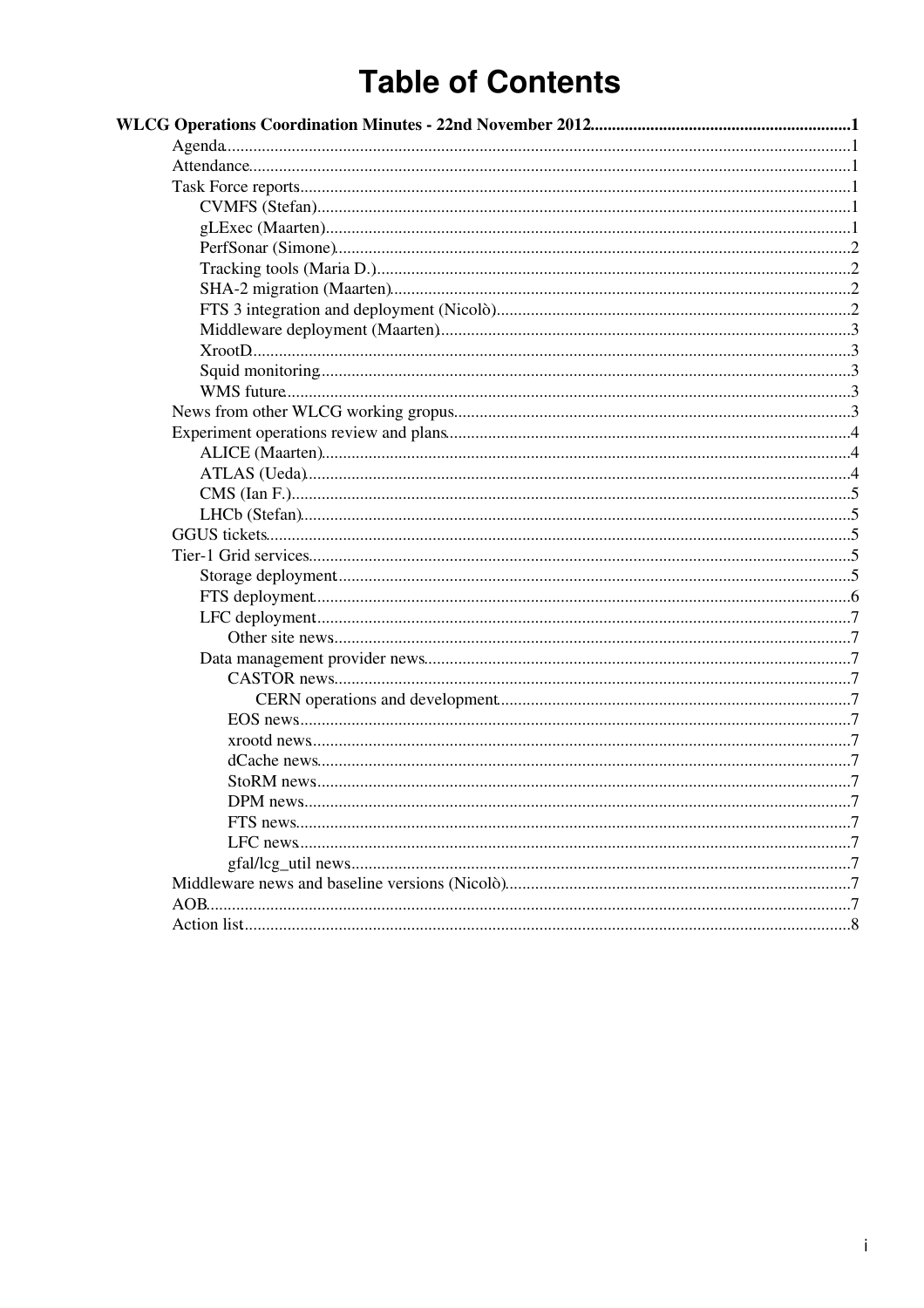# **Table of Contents**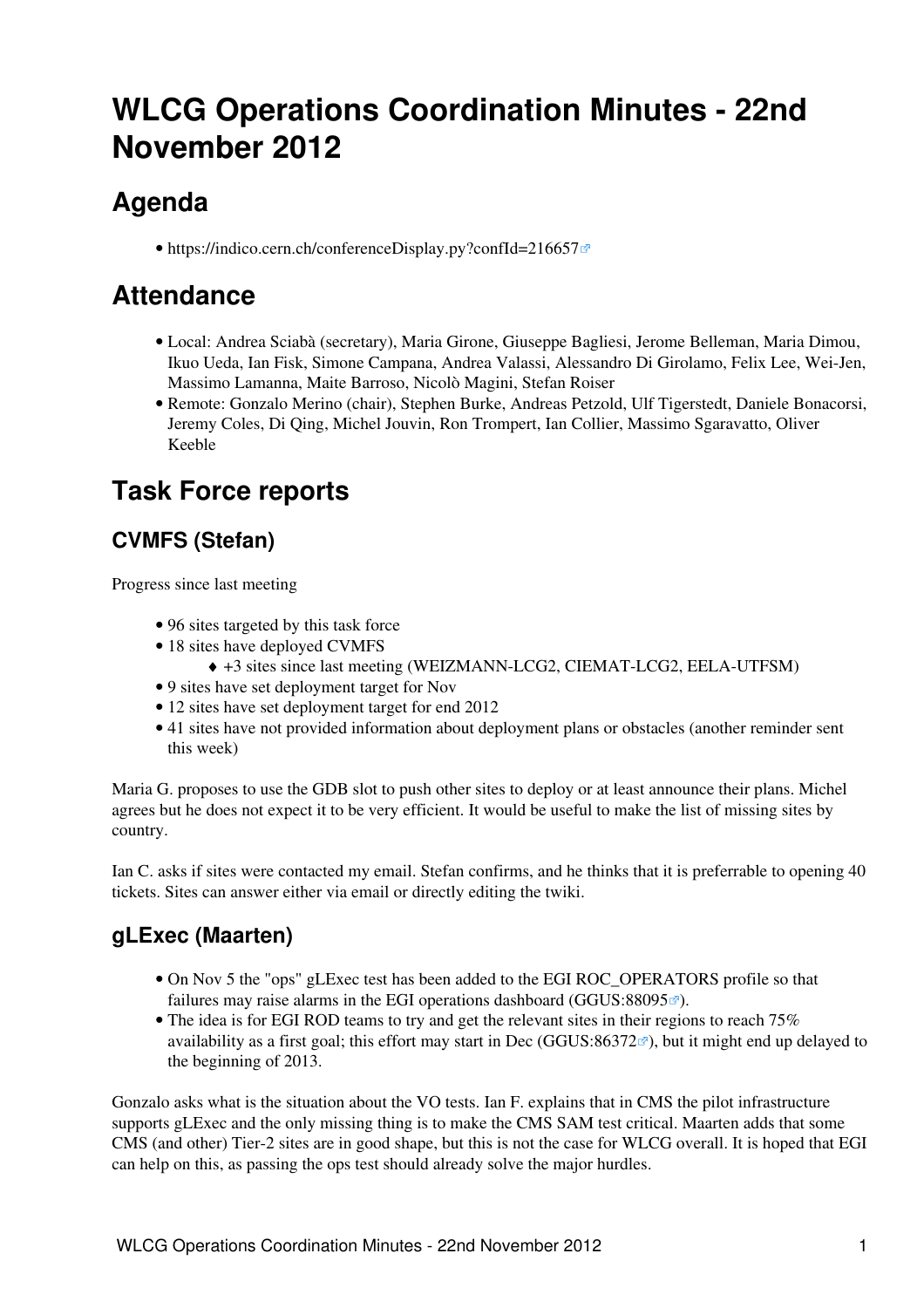# <span id="page-1-0"></span>**WLCG Operations Coordination Minutes - 22nd November 2012**

# <span id="page-1-1"></span>**Agenda**

• <https://indico.cern.ch/conferenceDisplay.py?confId=216657>

# <span id="page-1-2"></span>**Attendance**

- Local: Andrea Sciabà (secretary), Maria Girone, Giuseppe Bagliesi, Jerome Belleman, Maria Dimou, Ikuo Ueda, Ian Fisk, Simone Campana, Andrea Valassi, Alessandro Di Girolamo, Felix Lee, Wei-Jen, Massimo Lamanna, Maite Barroso, Nicolò Magini, Stefan Roiser
- Remote: Gonzalo Merino (chair), Stephen Burke, Andreas Petzold, Ulf Tigerstedt, Daniele Bonacorsi, Jeremy Coles, Di Qing, Michel Jouvin, Ron Trompert, Ian Collier, Massimo Sgaravatto, Oliver Keeble

# <span id="page-1-3"></span>**Task Force reports**

### <span id="page-1-4"></span>**CVMFS (Stefan)**

Progress since last meeting

- 96 sites targeted by this task force
- 18 sites have deployed CVMFS
	- ♦ +3 sites since last meeting (WEIZMANN-LCG2, CIEMAT-LCG2, EELA-UTFSM)
- 9 sites have set deployment target for Nov
- 12 sites have set deployment target for end 2012
- 41 sites have not provided information about deployment plans or obstacles (another reminder sent this week)

Maria G. proposes to use the GDB slot to push other sites to deploy or at least announce their plans. Michel agrees but he does not expect it to be very efficient. It would be useful to make the list of missing sites by country.

Ian C. asks if sites were contacted my email. Stefan confirms, and he thinks that it is preferrable to opening 40 tickets. Sites can answer either via email or directly editing the twiki.

#### <span id="page-1-5"></span>**gLExec (Maarten)**

- On Nov 5 the "ops" gLExec test has been added to the EGI ROC\_OPERATORS profile so that failures may raise alarms in the EGI operations dashboard ([GGUS:88095](https://ggus.eu/ws/ticket_info.php?ticket=88095) $\degree$ ).
- The idea is for EGI ROD teams to try and get the relevant sites in their regions to reach 75% availability as a first goal; this effort may start in Dec ([GGUS:86372](https://ggus.eu/ws/ticket_info.php?ticket=86372) $\mathscr{B}$ ), but it might end up delayed to the beginning of 2013.

Gonzalo asks what is the situation about the VO tests. Ian F. explains that in CMS the pilot infrastructure supports gLExec and the only missing thing is to make the CMS SAM test critical. Maarten adds that some CMS (and other) Tier-2 sites are in good shape, but this is not the case for WLCG overall. It is hoped that EGI can help on this, as passing the ops test should already solve the major hurdles.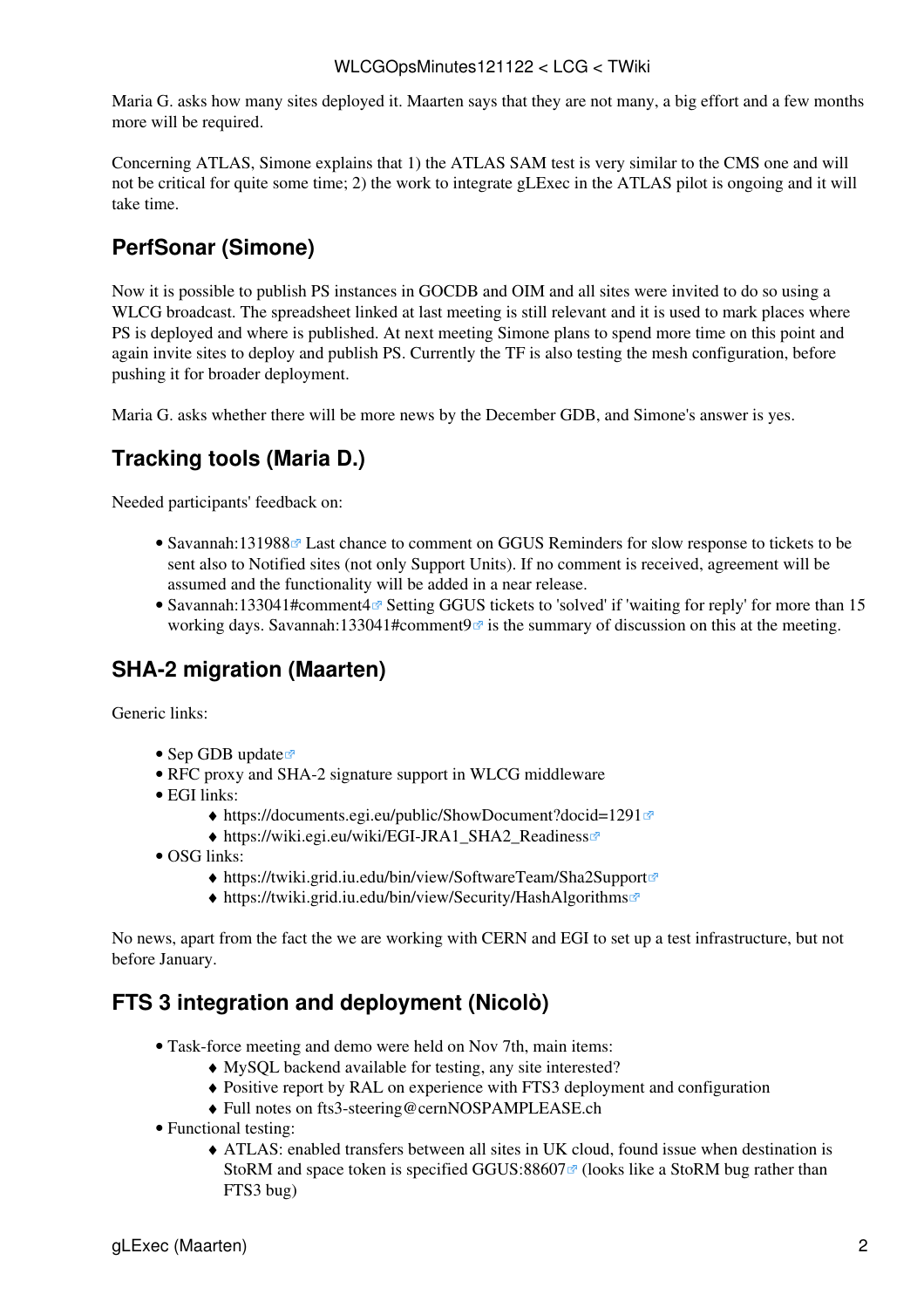Maria G. asks how many sites deployed it. Maarten says that they are not many, a big effort and a few months more will be required.

Concerning ATLAS, Simone explains that 1) the ATLAS SAM test is very similar to the CMS one and will not be critical for quite some time; 2) the work to integrate gLExec in the ATLAS pilot is ongoing and it will take time.

### <span id="page-2-0"></span>**PerfSonar (Simone)**

Now it is possible to publish PS instances in GOCDB and OIM and all sites were invited to do so using a WLCG broadcast. The spreadsheet linked at last meeting is still relevant and it is used to mark places where PS is deployed and where is published. At next meeting Simone plans to spend more time on this point and again invite sites to deploy and publish PS. Currently the TF is also testing the mesh configuration, before pushing it for broader deployment.

Maria G. asks whether there will be more news by the December GDB, and Simone's answer is yes.

#### <span id="page-2-1"></span>**Tracking tools (Maria D.)**

Needed participants' feedback on:

- [Savannah:131988](https://savannah.cern.ch/support/?131988)<sup>®</sup> Last chance to comment on GGUS Reminders for slow response to tickets to be sent also to Notified sites (not only Support Units). If no comment is received, agreement will be assumed and the functionality will be added in a near release.
- [Savannah:133041#comment4](https://savannah.cern.ch/support/?133041#comment4)<sup>®</sup> Setting GGUS tickets to 'solved' if 'waiting for reply' for more than 15 working days. [Savannah:133041#comment9](https://savannah.cern.ch/support/?133041#comment9) $\sigma$  is the summary of discussion on this at the meeting.

#### <span id="page-2-2"></span>**SHA-2 migration (Maarten)**

Generic links:

- [Sep GDB update](http://indico.cern.ch/getFile.py/access?contribId=5&sessionId=1&resId=1&materialId=slides&confId=155072) $\vec{r}$
- [RFC proxy and SHA-2 signature support in WLCG middleware](https://twiki.cern.ch/twiki/bin/view/LCG/RFCproxySHA2support)
- EGI links:
	- $\triangleleft$  <https://documents.egi.eu/public/ShowDocument?docid=1291><sup>®</sup>
		- ◆ [https://wiki.egi.eu/wiki/EGI-JRA1\\_SHA2\\_Readiness](https://wiki.egi.eu/wiki/EGI-JRA1_SHA2_Readiness)
- OSG links:
	- ♦ <https://twiki.grid.iu.edu/bin/view/SoftwareTeam/Sha2Support>
	- ♦ <https://twiki.grid.iu.edu/bin/view/Security/HashAlgorithms>

No news, apart from the fact the we are working with CERN and EGI to set up a test infrastructure, but not before January.

#### <span id="page-2-3"></span>**FTS 3 integration and deployment (Nicolò)**

- Task-force meeting and demo were held on Nov 7th, main items:
	- ♦ [MySQL](https://twiki.cern.ch/twiki/bin/edit/LCG/MySQL?topicparent=LCG.WLCGOpsMinutes121122;nowysiwyg=1) backend available for testing, any site interested?
	- ♦ Positive report by [RAL](https://twiki.cern.ch/twiki/bin/view/LCG/RAL) on experience with FTS3 deployment and configuration
	- ♦ Full notes on [fts3-steering@cernNOSPAMPLEASE.ch](mailto:fts3-steering@cernNOSPAMPLEASE.ch)
- Functional testing:
	- ATLAS: enabled transfers between all sites in UK cloud, found issue when destination is ♦ [StoRM](https://twiki.cern.ch/twiki/bin/view/LCG/StoRM) and space token is specified GGUS:88607 $\sigma$  (looks like a StoRM bug rather than FTS3 bug)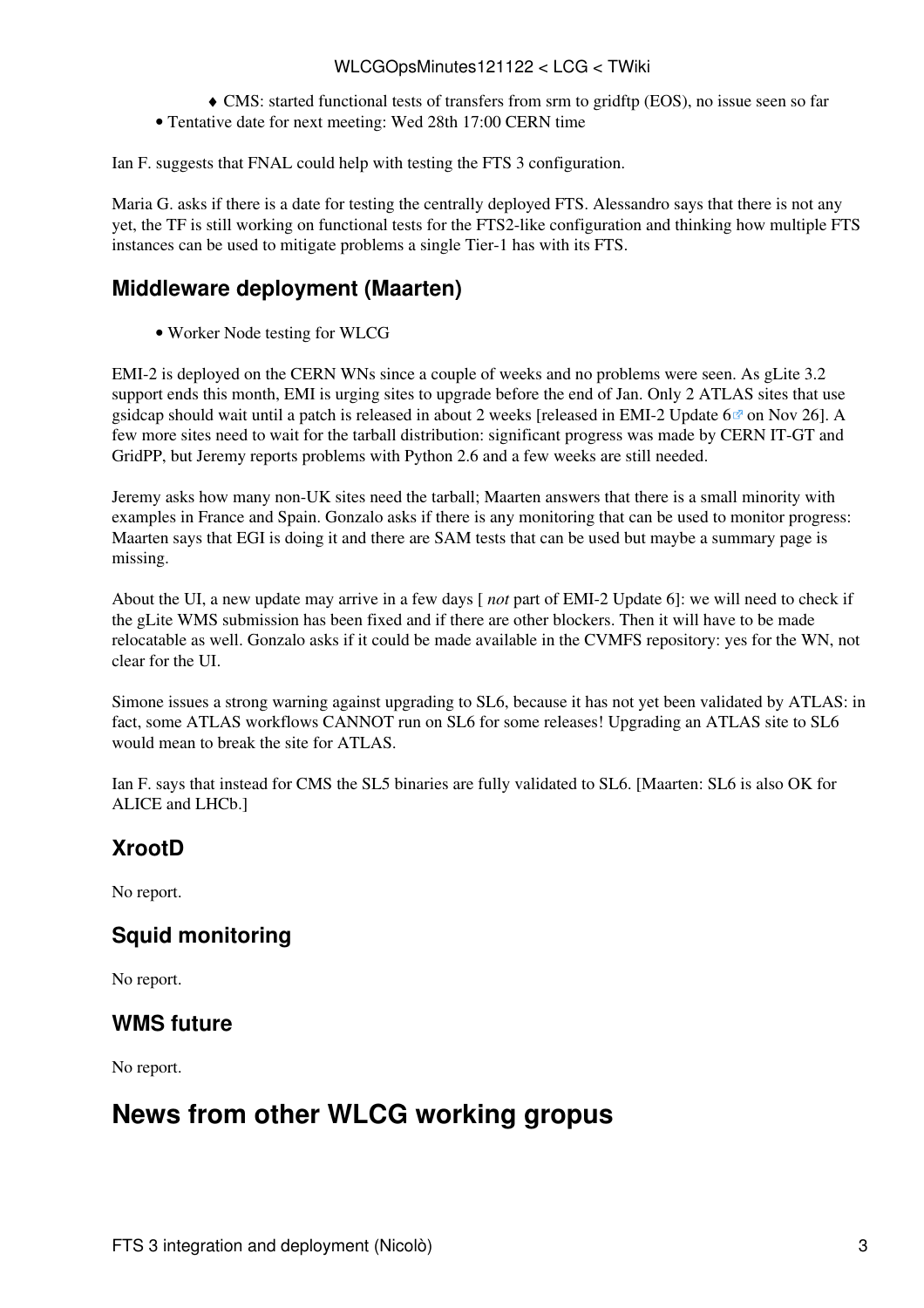#### WLCGOpsMinutes121122 < LCG < TWiki

- ♦ CMS: started functional tests of transfers from srm to gridftp (EOS), no issue seen so far
- Tentative date for next meeting: Wed 28th 17:00 CERN time

Ian F. suggests that FNAL could help with testing the FTS 3 configuration.

Maria G. asks if there is a date for testing the centrally deployed FTS. Alessandro says that there is not any yet, the TF is still working on functional tests for the FTS2-like configuration and thinking how multiple FTS instances can be used to mitigate problems a single Tier-1 has with its FTS.

#### <span id="page-3-0"></span>**Middleware deployment (Maarten)**

• [Worker Node testing for WLCG](https://twiki.cern.ch/twiki/bin/view/LCG/WorkerNodeTesting)

EMI-2 is deployed on the CERN WNs since a couple of weeks and no problems were seen. As gLite 3.2 support ends this month, EMI is urging sites to upgrade before the end of Jan. Only 2 ATLAS sites that use gsidcap should wait until a patch is released in about 2 weeks [released in EMI-2 Update  $6\degree$  on Nov 26]. A few more sites need to wait for the tarball distribution: significant progress was made by CERN IT-GT and GridPP, but Jeremy reports problems with Python 2.6 and a few weeks are still needed.

Jeremy asks how many non-UK sites need the tarball; Maarten answers that there is a small minority with examples in France and Spain. Gonzalo asks if there is any monitoring that can be used to monitor progress: Maarten says that EGI is doing it and there are SAM tests that can be used but maybe a summary page is missing.

About the UI, a new update may arrive in a few days [ *not* part of EMI-2 Update 6]: we will need to check if the gLite WMS submission has been fixed and if there are other blockers. Then it will have to be made relocatable as well. Gonzalo asks if it could be made available in the CVMFS repository: yes for the WN, not clear for the UI.

Simone issues a strong warning against upgrading to SL6, because it has not yet been validated by ATLAS: in fact, some ATLAS workflows CANNOT run on SL6 for some releases! Upgrading an ATLAS site to SL6 would mean to break the site for ATLAS.

Ian F. says that instead for CMS the SL5 binaries are fully validated to SL6. [Maarten: SL6 is also OK for ALICE and LHCb.]

#### <span id="page-3-1"></span>**XrootD**

No report.

#### <span id="page-3-2"></span>**Squid monitoring**

No report.

#### <span id="page-3-3"></span>**WMS future**

No report.

## <span id="page-3-4"></span>**News from other WLCG working gropus**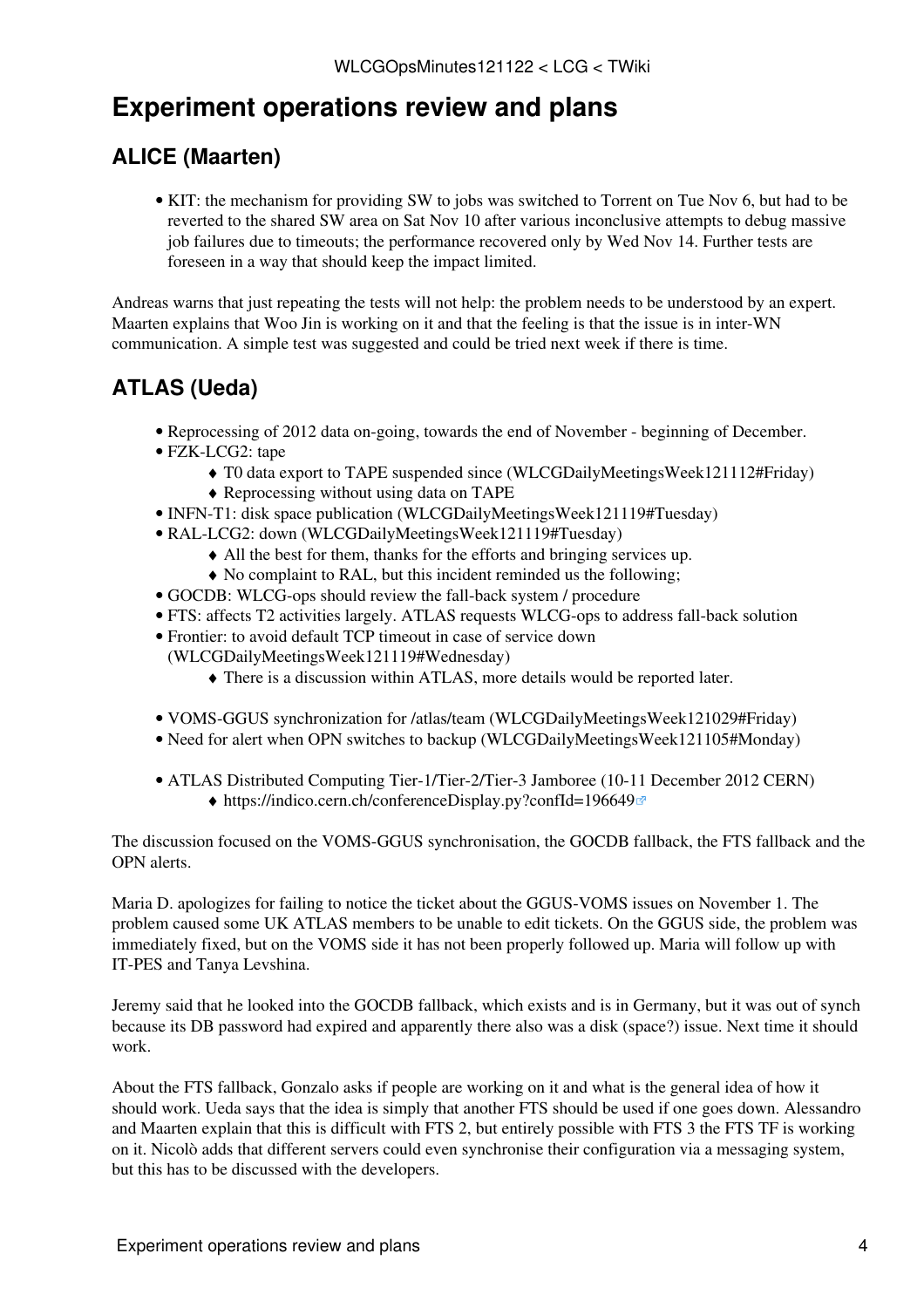# <span id="page-4-0"></span>**Experiment operations review and plans**

### <span id="page-4-1"></span>**ALICE (Maarten)**

• KIT: the mechanism for providing SW to jobs was switched to Torrent on Tue Nov 6, but had to be reverted to the shared SW area on Sat Nov 10 after various inconclusive attempts to debug massive job failures due to timeouts; the performance recovered only by Wed Nov 14. Further tests are foreseen in a way that should keep the impact limited.

Andreas warns that just repeating the tests will not help: the problem needs to be understood by an expert. Maarten explains that Woo Jin is working on it and that the feeling is that the issue is in inter-WN communication. A simple test was suggested and could be tried next week if there is time.

### <span id="page-4-2"></span>**ATLAS (Ueda)**

- Reprocessing of 2012 data on-going, towards the end of November beginning of December.
- FZK-LCG2: tape
	- ♦ T0 data export to TAPE suspended since [\(WLCGDailyMeetingsWeek121112#Friday\)](https://twiki.cern.ch/twiki/bin/view/LCG/WLCGDailyMeetingsWeek121112#Friday)
	- ♦ Reprocessing without using data on TAPE
- INFN-T1: disk space publication ([WLCGDailyMeetingsWeek121119#Tuesday\)](https://twiki.cern.ch/twiki/bin/view/LCG/WLCGDailyMeetingsWeek121119#Tuesday)
- [RAL](https://twiki.cern.ch/twiki/bin/view/LCG/RAL)-LCG2: down ([WLCGDailyMeetingsWeek121119#Tuesday](https://twiki.cern.ch/twiki/bin/view/LCG/WLCGDailyMeetingsWeek121119#Tuesday))
	- ♦ All the best for them, thanks for the efforts and bringing services up.
	- ♦ No complaint to [RAL](https://twiki.cern.ch/twiki/bin/view/LCG/RAL), but this incident reminded us the following;
- GOCDB: WLCG-ops should review the fall-back system / procedure
- FTS: affects T2 activities largely. ATLAS requests WLCG-ops to address fall-back solution
- Frontier: to avoid default TCP timeout in case of service down
	- ([WLCGDailyMeetingsWeek121119#Wednesday\)](https://twiki.cern.ch/twiki/bin/view/LCG/WLCGDailyMeetingsWeek121119#Wednesday)
		- ♦ There is a discussion within ATLAS, more details would be reported later.
- [VOMS-](https://twiki.cern.ch/twiki/bin/view/LCG/VOMS)GGUS synchronization for /atlas/team ([WLCGDailyMeetingsWeek121029#Friday](https://twiki.cern.ch/twiki/bin/view/LCG/WLCGDailyMeetingsWeek121029#Friday))
- Need for alert when OPN switches to backup [\(WLCGDailyMeetingsWeek121105#Monday\)](https://twiki.cern.ch/twiki/bin/view/LCG/WLCGDailyMeetingsWeek121105#Monday)
- ATLAS Distributed Computing Tier-1/Tier-2/Tier-3 Jamboree (10-11 December 2012 CERN) ♦ <https://indico.cern.ch/conferenceDisplay.py?confId=196649>

The discussion focused on the [VOMS](https://twiki.cern.ch/twiki/bin/view/LCG/VOMS)-GGUS synchronisation, the GOCDB fallback, the FTS fallback and the OPN alerts.

Maria D. apologizes for failing to notice the ticket about the GGUS-VOMS issues on November 1. The problem caused some UK ATLAS members to be unable to edit tickets. On the GGUS side, the problem was immediately fixed, but on the [VOMS](https://twiki.cern.ch/twiki/bin/view/LCG/VOMS) side it has not been properly followed up. Maria will follow up with IT-PES and Tanya Levshina.

Jeremy said that he looked into the GOCDB fallback, which exists and is in Germany, but it was out of synch because its DB password had expired and apparently there also was a disk (space?) issue. Next time it should work.

About the FTS fallback, Gonzalo asks if people are working on it and what is the general idea of how it should work. Ueda says that the idea is simply that another FTS should be used if one goes down. Alessandro and Maarten explain that this is difficult with FTS 2, but entirely possible with FTS 3 the FTS TF is working on it. Nicolò adds that different servers could even synchronise their configuration via a messaging system, but this has to be discussed with the developers.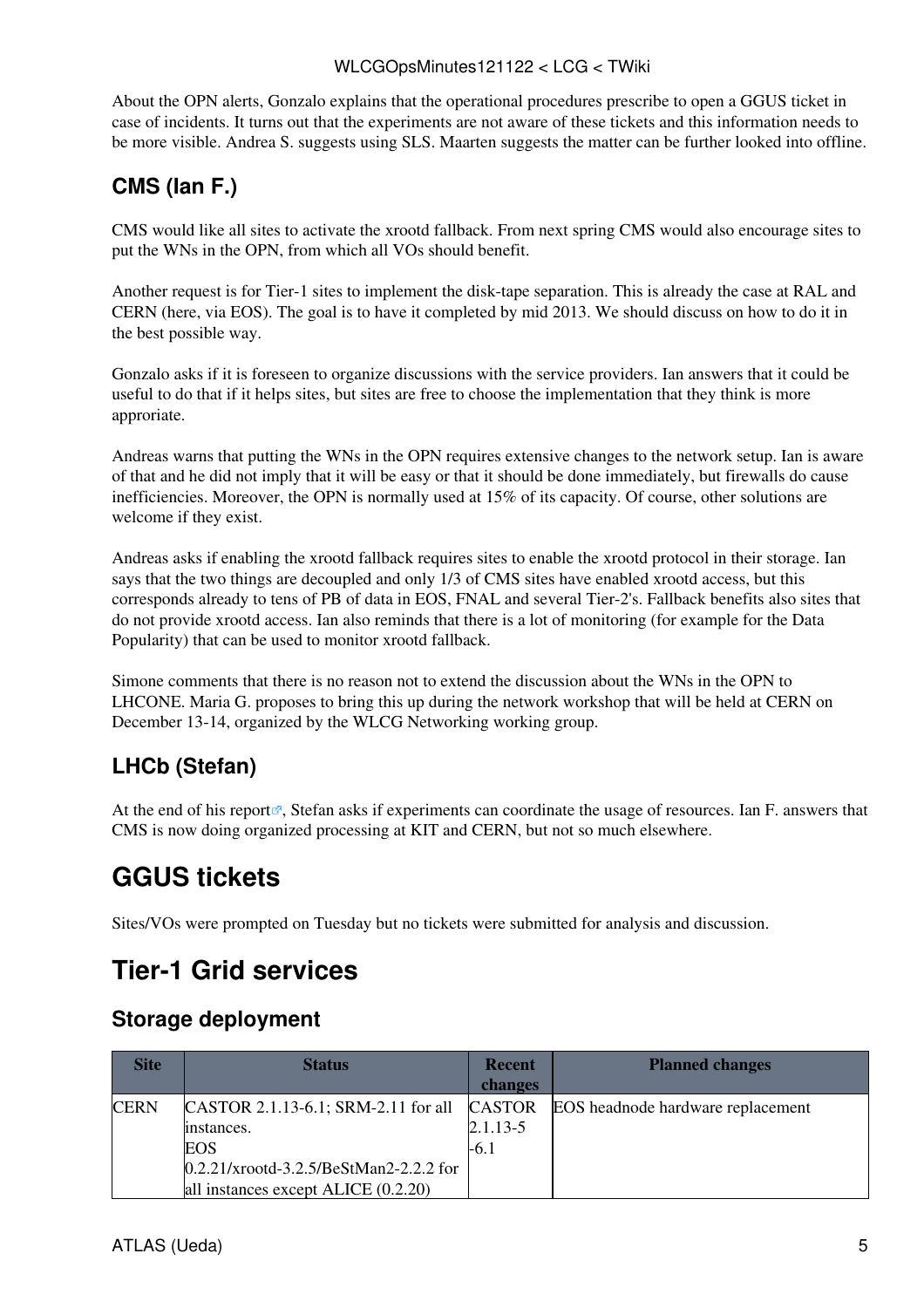#### WLCGOpsMinutes121122 < LCG < TWiki

About the OPN alerts, Gonzalo explains that the operational procedures prescribe to open a GGUS ticket in case of incidents. It turns out that the experiments are not aware of these tickets and this information needs to be more visible. Andrea S. suggests using SLS. Maarten suggests the matter can be further looked into offline.

### <span id="page-5-0"></span>**CMS (Ian F.)**

CMS would like all sites to activate the xrootd fallback. From next spring CMS would also encourage sites to put the WNs in the OPN, from which all VOs should benefit.

Another request is for Tier-1 sites to implement the disk-tape separation. This is already the case at [RAL](https://twiki.cern.ch/twiki/bin/view/LCG/RAL) and CERN (here, via EOS). The goal is to have it completed by mid 2013. We should discuss on how to do it in the best possible way.

Gonzalo asks if it is foreseen to organize discussions with the service providers. Ian answers that it could be useful to do that if it helps sites, but sites are free to choose the implementation that they think is more approriate.

Andreas warns that putting the WNs in the OPN requires extensive changes to the network setup. Ian is aware of that and he did not imply that it will be easy or that it should be done immediately, but firewalls do cause inefficiencies. Moreover, the OPN is normally used at 15% of its capacity. Of course, other solutions are welcome if they exist.

Andreas asks if enabling the xrootd fallback requires sites to enable the xrootd protocol in their storage. Ian says that the two things are decoupled and only 1/3 of CMS sites have enabled xrootd access, but this corresponds already to tens of PB of data in EOS, FNAL and several Tier-2's. Fallback benefits also sites that do not provide xrootd access. Ian also reminds that there is a lot of monitoring (for example for the Data Popularity) that can be used to monitor xrootd fallback.

Simone comments that there is no reason not to extend the discussion about the WNs in the OPN to LHCONE. Maria G. proposes to bring this up during the network workshop that will be held at CERN on December 13-14, organized by the WLCG Networking working group.

### <span id="page-5-1"></span>**LHCb (Stefan)**

At the end of his [report](https://indico.cern.ch/getFile.py/access?subContId=3&contribId=1&resId=1&materialId=slides&confId=216657)  $\mathbb{R}$ , Stefan asks if experiments can coordinate the usage of resources. Ian F. answers that CMS is now doing organized processing at KIT and CERN, but not so much elsewhere.

# <span id="page-5-2"></span>**GGUS tickets**

Sites/VOs were prompted on Tuesday but no tickets were submitted for analysis and discussion.

# <span id="page-5-3"></span>**Tier-1 Grid services**

#### <span id="page-5-4"></span>**Storage deployment**

| <b>Site</b> | <b>Status</b>                             | <b>Recent</b> | <b>Planned changes</b>            |
|-------------|-------------------------------------------|---------------|-----------------------------------|
|             |                                           | changes       |                                   |
| <b>CERN</b> | CASTOR 2.1.13-6.1; SRM-2.11 for all       | <b>CASTOR</b> | EOS headnode hardware replacement |
|             | instances.                                | $2.1.13 - 5$  |                                   |
|             | <b>EOS</b>                                | -6.1          |                                   |
|             | $0.2.21/x$ rootd-3.2.5/BeStMan2-2.2.2 for |               |                                   |
|             | all instances except ALICE (0.2.20)       |               |                                   |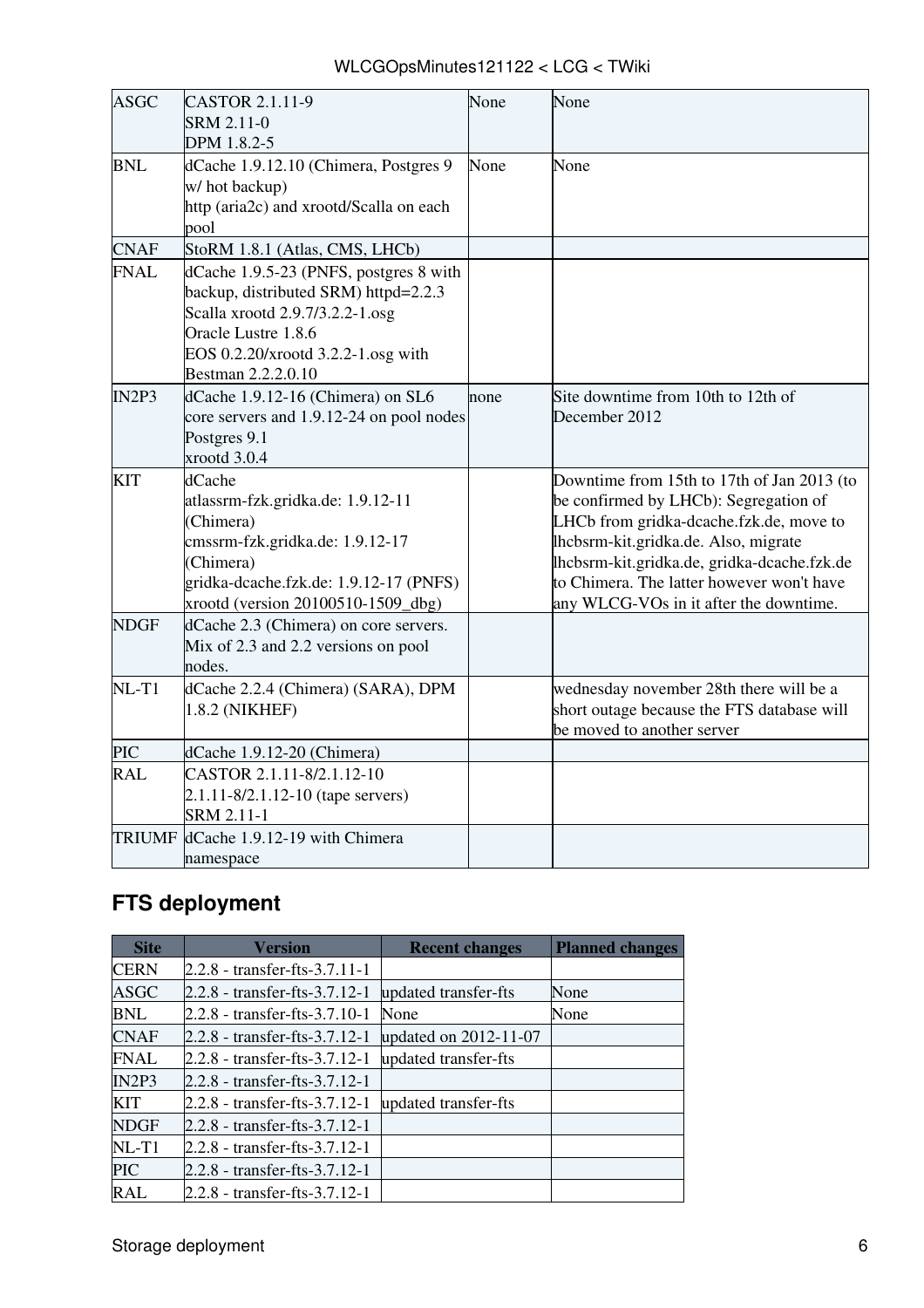| WLCGOpsMinutes121122 < LCG < TWiki |  |
|------------------------------------|--|
|------------------------------------|--|

| ASGC          | CASTOR 2.1.11-9<br><b>SRM 2.11-0</b><br>DPM 1.8.2-5                                                                                                                                                  | None | None                                                                                                                                                                                                                                                                                                         |
|---------------|------------------------------------------------------------------------------------------------------------------------------------------------------------------------------------------------------|------|--------------------------------------------------------------------------------------------------------------------------------------------------------------------------------------------------------------------------------------------------------------------------------------------------------------|
| <b>BNL</b>    | dCache 1.9.12.10 (Chimera, Postgres 9<br>w/ hot backup)<br>http (aria2c) and xrootd/Scalla on each<br>pool                                                                                           | None | None                                                                                                                                                                                                                                                                                                         |
| <b>CNAF</b>   | StoRM 1.8.1 (Atlas, CMS, LHCb)                                                                                                                                                                       |      |                                                                                                                                                                                                                                                                                                              |
| <b>FNAL</b>   | dCache 1.9.5-23 (PNFS, postgres 8 with<br>backup, distributed SRM) httpd=2.2.3<br>Scalla xrootd 2.9.7/3.2.2-1.osg<br>Oracle Lustre 1.8.6<br>EOS 0.2.20/xrootd 3.2.2-1.osg with<br>Bestman 2.2.2.0.10 |      |                                                                                                                                                                                                                                                                                                              |
| IN2P3         | dCache 1.9.12-16 (Chimera) on SL6<br>core servers and 1.9.12-24 on pool nodes<br>Postgres 9.1<br>xrootd 3.0.4                                                                                        | none | Site downtime from 10th to 12th of<br>December 2012                                                                                                                                                                                                                                                          |
| KIT           | dCache<br>atlassrm-fzk.gridka.de: 1.9.12-11<br>(Chimera)<br>cmssrm-fzk.gridka.de: 1.9.12-17<br>(Chimera)<br>gridka-dcache.fzk.de: 1.9.12-17 (PNFS)<br>xrootd (version 20100510-1509_dbg)             |      | Downtime from 15th to 17th of Jan 2013 (to<br>be confirmed by LHCb): Segregation of<br>LHCb from gridka-dcache.fzk.de, move to<br>lhcbsrm-kit.gridka.de. Also, migrate<br>lhcbsrm-kit.gridka.de, gridka-dcache.fzk.de<br>to Chimera. The latter however won't have<br>any WLCG-VOs in it after the downtime. |
| <b>NDGF</b>   | dCache 2.3 (Chimera) on core servers.<br>Mix of 2.3 and 2.2 versions on pool<br>nodes.                                                                                                               |      |                                                                                                                                                                                                                                                                                                              |
| $NL-T1$       | dCache 2.2.4 (Chimera) (SARA), DPM<br>1.8.2 (NIKHEF)                                                                                                                                                 |      | wednesday november 28th there will be a<br>short outage because the FTS database will<br>be moved to another server                                                                                                                                                                                          |
| <b>PIC</b>    | dCache 1.9.12-20 (Chimera)                                                                                                                                                                           |      |                                                                                                                                                                                                                                                                                                              |
| <b>RAL</b>    | CASTOR 2.1.11-8/2.1.12-10<br>2.1.11-8/2.1.12-10 (tape servers)<br>SRM 2.11-1                                                                                                                         |      |                                                                                                                                                                                                                                                                                                              |
| <b>TRIUMF</b> | dCache 1.9.12-19 with Chimera<br>namespace                                                                                                                                                           |      |                                                                                                                                                                                                                                                                                                              |

# <span id="page-6-0"></span>**FTS deployment**

| <b>Site</b> | <b>Version</b>                  | <b>Recent changes</b> | <b>Planned changes</b> |
|-------------|---------------------------------|-----------------------|------------------------|
| <b>CERN</b> | $2.2.8$ - transfer-fts-3.7.11-1 |                       |                        |
| ASGC        | $2.2.8$ - transfer-fts-3.7.12-1 | updated transfer-fts  | None                   |
| BNL         | 2.2.8 - transfer-fts-3.7.10-1   | None                  | None                   |
| <b>CNAF</b> | $2.2.8$ - transfer-fts-3.7.12-1 | updated on 2012-11-07 |                        |
| <b>FNAL</b> | 2.2.8 - transfer-fts-3.7.12-1   | updated transfer-fts  |                        |
| IN2P3       | $2.2.8$ - transfer-fts-3.7.12-1 |                       |                        |
| <b>KIT</b>  | 2.2.8 - transfer-fts-3.7.12-1   | updated transfer-fts  |                        |
| <b>NDGF</b> | $2.2.8$ - transfer-fts-3.7.12-1 |                       |                        |
| $NL-T1$     | $2.2.8$ - transfer-fts-3.7.12-1 |                       |                        |
| <b>PIC</b>  | $2.2.8$ - transfer-fts-3.7.12-1 |                       |                        |
| <b>RAL</b>  | 2.2.8 - transfer-fts-3.7.12-1   |                       |                        |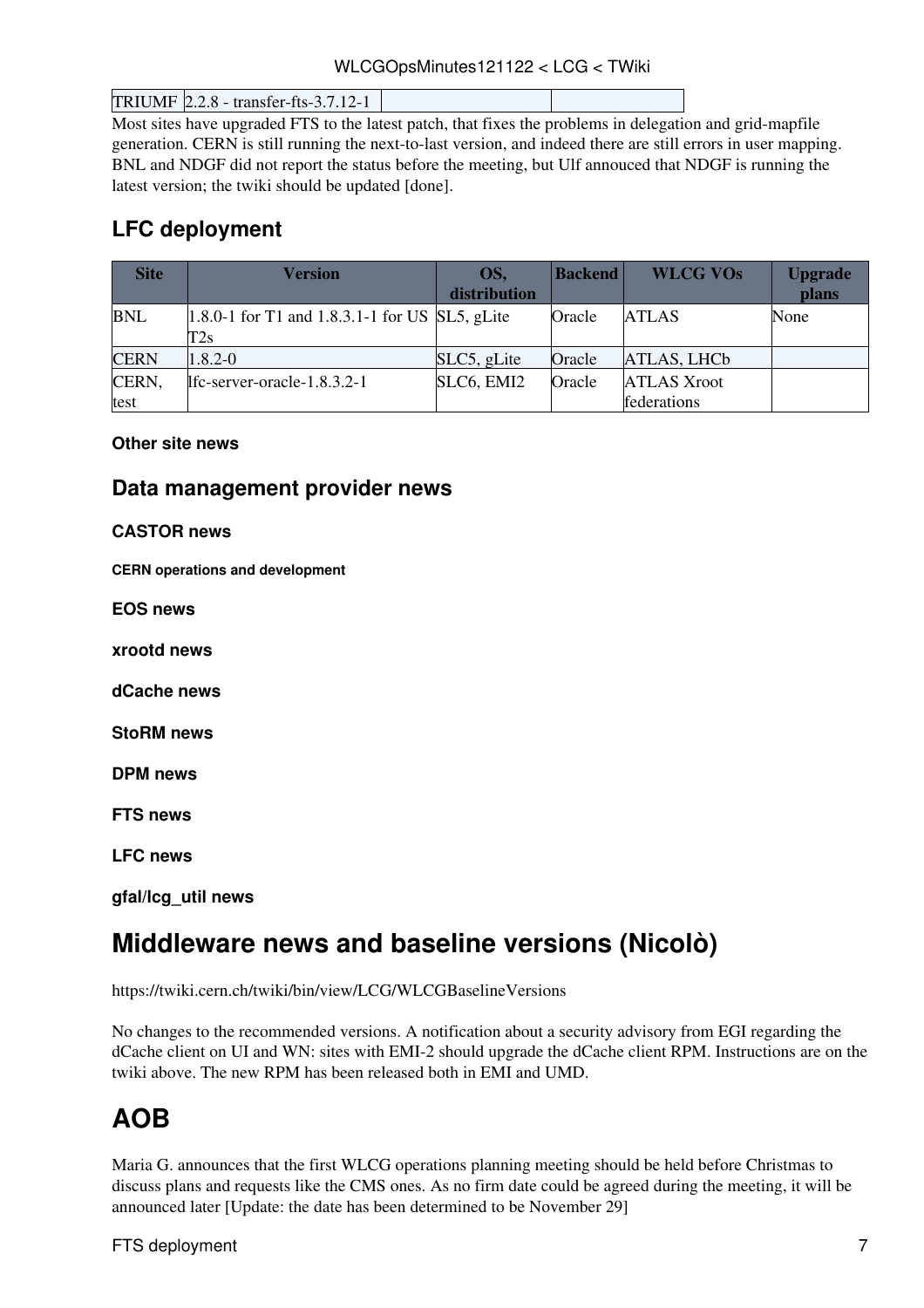WLCGOpsMinutes121122 < LCG < TWiki

TRIUMF 2.2.8 - transfer-fts-3.7.12-1

Most sites have upgraded FTS to the latest patch, that fixes the problems in delegation and grid-mapfile generation. CERN is still running the next-to-last version, and indeed there are still errors in user mapping. BNL and NDGF did not report the status before the meeting, but Ulf annouced that NDGF is running the latest version; the twiki should be updated [done].

### <span id="page-7-0"></span>**LFC deployment**

| <b>Site</b> | Version                                           | OS,          | <b>Backend</b> | <b>WLCG VOs</b>    | <b>Upgrade</b> |
|-------------|---------------------------------------------------|--------------|----------------|--------------------|----------------|
|             |                                                   | distribution |                |                    | plans          |
| <b>BNL</b>  | $[1.8.0-1$ for T1 and 1.8.3.1-1 for US SL5, gLite |              | Oracle         | <b>ATLAS</b>       | None           |
|             | $\rm{T2s}$                                        |              |                |                    |                |
| <b>CERN</b> | $1.8.2 - 0$                                       | SLC5, gLite  | Oracle         | ATLAS, LHCb        |                |
| CERN,       | lfc-server-oracle-1.8.3.2-1                       | SLC6, EMI2   | Oracle         | <b>ATLAS Xroot</b> |                |
| test        |                                                   |              |                | federations        |                |

#### <span id="page-7-1"></span>**Other site news**

#### <span id="page-7-2"></span>**Data management provider news**

#### <span id="page-7-3"></span>**CASTOR news**

<span id="page-7-4"></span>**CERN operations and development**

<span id="page-7-5"></span>**EOS news**

<span id="page-7-6"></span>**xrootd news**

<span id="page-7-7"></span>**dCache news**

<span id="page-7-8"></span>**StoRM news**

<span id="page-7-9"></span>**DPM news**

<span id="page-7-10"></span>**FTS news**

<span id="page-7-11"></span>**LFC news**

<span id="page-7-12"></span>**gfal/lcg\_util news**

# <span id="page-7-13"></span>**Middleware news and baseline versions (Nicolò)**

<https://twiki.cern.ch/twiki/bin/view/LCG/WLCGBaselineVersions>

No changes to the recommended versions. A notification about a security advisory from EGI regarding the dCache client on UI and WN: sites with EMI-2 should upgrade the dCache client RPM. Instructions are on the twiki above. The new RPM has been released both in EMI and UMD.

# <span id="page-7-14"></span>**AOB**

Maria G. announces that the first WLCG operations planning meeting should be held before Christmas to discuss plans and requests like the CMS ones. As no firm date could be agreed during the meeting, it will be announced later [Update: the date has been determined to be November 29]